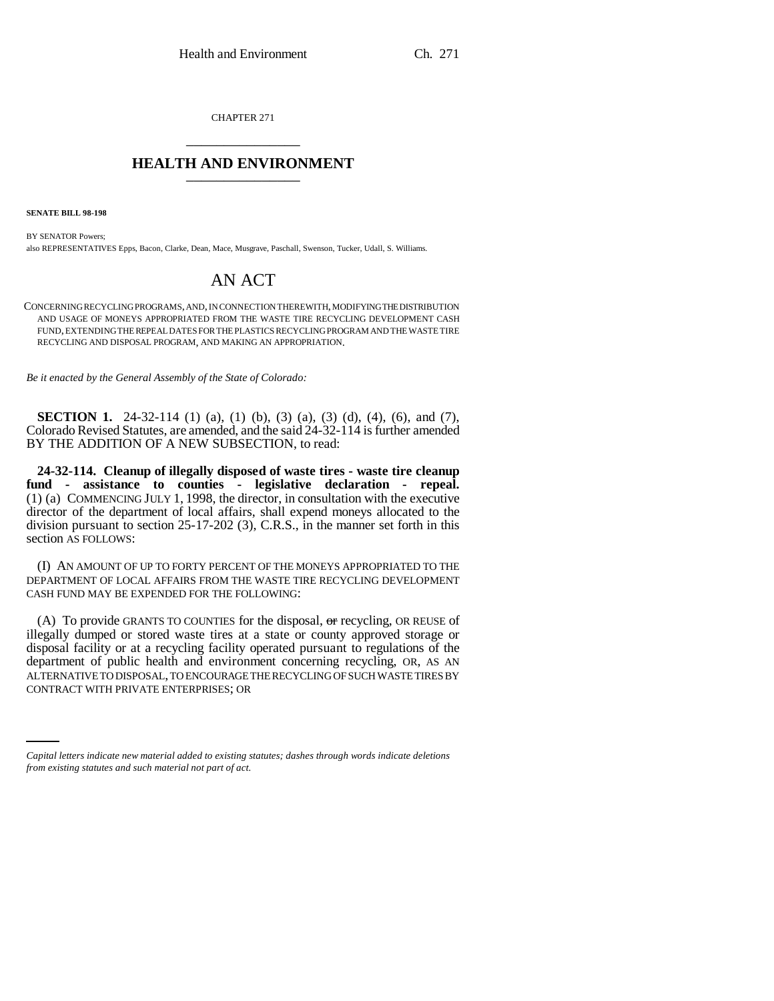CHAPTER 271 \_\_\_\_\_\_\_\_\_\_\_\_\_\_\_

## **HEALTH AND ENVIRONMENT** \_\_\_\_\_\_\_\_\_\_\_\_\_\_\_

**SENATE BILL 98-198**

BY SENATOR Powers; also REPRESENTATIVES Epps, Bacon, Clarke, Dean, Mace, Musgrave, Paschall, Swenson, Tucker, Udall, S. Williams.

## AN ACT

CONCERNING RECYCLING PROGRAMS, AND, IN CONNECTION THEREWITH, MODIFYING THE DISTRIBUTION AND USAGE OF MONEYS APPROPRIATED FROM THE WASTE TIRE RECYCLING DEVELOPMENT CASH FUND, EXTENDING THE REPEAL DATES FOR THE PLASTICS RECYCLING PROGRAM AND THE WASTE TIRE RECYCLING AND DISPOSAL PROGRAM, AND MAKING AN APPROPRIATION.

*Be it enacted by the General Assembly of the State of Colorado:*

**SECTION 1.** 24-32-114 (1) (a), (1) (b), (3) (a), (3) (d), (4), (6), and (7), Colorado Revised Statutes, are amended, and the said 24-32-114 is further amended BY THE ADDITION OF A NEW SUBSECTION, to read:

**24-32-114. Cleanup of illegally disposed of waste tires - waste tire cleanup fund - assistance to counties - legislative declaration - repeal.** (1) (a) COMMENCING JULY 1, 1998, the director, in consultation with the executive director of the department of local affairs, shall expend moneys allocated to the division pursuant to section 25-17-202 (3), C.R.S., in the manner set forth in this section AS FOLLOWS:

(I) AN AMOUNT OF UP TO FORTY PERCENT OF THE MONEYS APPROPRIATED TO THE DEPARTMENT OF LOCAL AFFAIRS FROM THE WASTE TIRE RECYCLING DEVELOPMENT CASH FUND MAY BE EXPENDED FOR THE FOLLOWING:

ALTERNATIVE TO DISPOSAL, TO ENCOURAGE THE RECYCLING OF SUCH WASTE TIRES BY (A) To provide GRANTS TO COUNTIES for the disposal,  $\Theta$  recycling, OR REUSE of illegally dumped or stored waste tires at a state or county approved storage or disposal facility or at a recycling facility operated pursuant to regulations of the department of public health and environment concerning recycling, OR, AS AN CONTRACT WITH PRIVATE ENTERPRISES; OR

*Capital letters indicate new material added to existing statutes; dashes through words indicate deletions from existing statutes and such material not part of act.*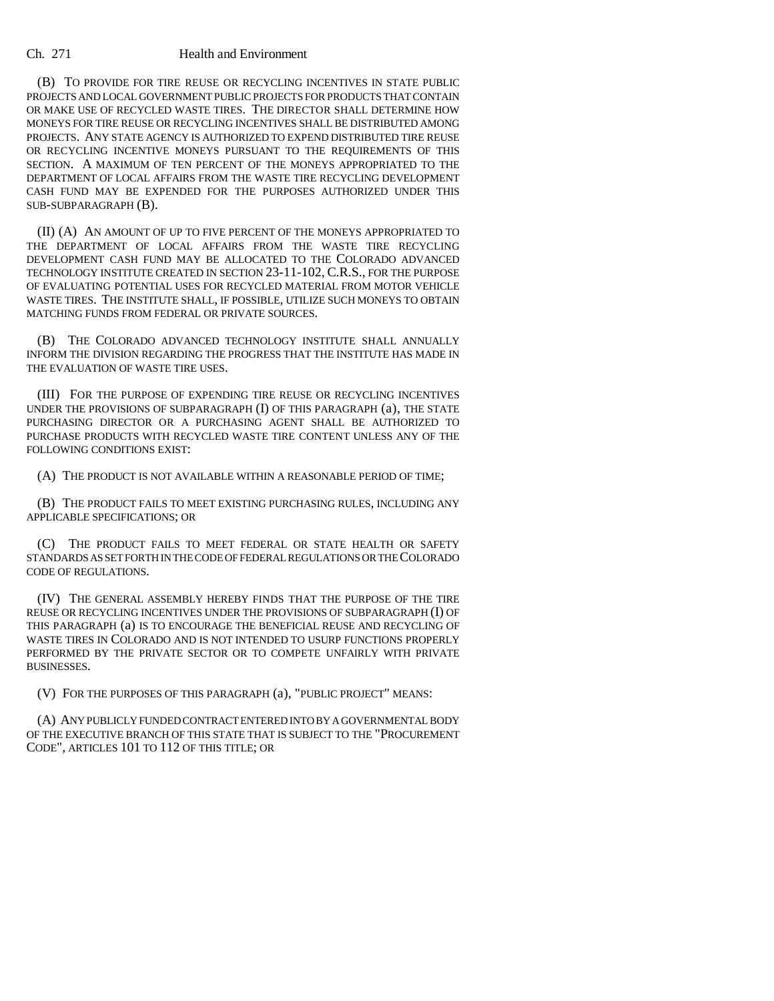## Ch. 271 Health and Environment

(B) TO PROVIDE FOR TIRE REUSE OR RECYCLING INCENTIVES IN STATE PUBLIC PROJECTS AND LOCAL GOVERNMENT PUBLIC PROJECTS FOR PRODUCTS THAT CONTAIN OR MAKE USE OF RECYCLED WASTE TIRES. THE DIRECTOR SHALL DETERMINE HOW MONEYS FOR TIRE REUSE OR RECYCLING INCENTIVES SHALL BE DISTRIBUTED AMONG PROJECTS. ANY STATE AGENCY IS AUTHORIZED TO EXPEND DISTRIBUTED TIRE REUSE OR RECYCLING INCENTIVE MONEYS PURSUANT TO THE REQUIREMENTS OF THIS SECTION. A MAXIMUM OF TEN PERCENT OF THE MONEYS APPROPRIATED TO THE DEPARTMENT OF LOCAL AFFAIRS FROM THE WASTE TIRE RECYCLING DEVELOPMENT CASH FUND MAY BE EXPENDED FOR THE PURPOSES AUTHORIZED UNDER THIS SUB-SUBPARAGRAPH (B).

(II) (A) AN AMOUNT OF UP TO FIVE PERCENT OF THE MONEYS APPROPRIATED TO THE DEPARTMENT OF LOCAL AFFAIRS FROM THE WASTE TIRE RECYCLING DEVELOPMENT CASH FUND MAY BE ALLOCATED TO THE COLORADO ADVANCED TECHNOLOGY INSTITUTE CREATED IN SECTION 23-11-102, C.R.S., FOR THE PURPOSE OF EVALUATING POTENTIAL USES FOR RECYCLED MATERIAL FROM MOTOR VEHICLE WASTE TIRES. THE INSTITUTE SHALL, IF POSSIBLE, UTILIZE SUCH MONEYS TO OBTAIN MATCHING FUNDS FROM FEDERAL OR PRIVATE SOURCES.

(B) THE COLORADO ADVANCED TECHNOLOGY INSTITUTE SHALL ANNUALLY INFORM THE DIVISION REGARDING THE PROGRESS THAT THE INSTITUTE HAS MADE IN THE EVALUATION OF WASTE TIRE USES.

(III) FOR THE PURPOSE OF EXPENDING TIRE REUSE OR RECYCLING INCENTIVES UNDER THE PROVISIONS OF SUBPARAGRAPH (I) OF THIS PARAGRAPH (a), THE STATE PURCHASING DIRECTOR OR A PURCHASING AGENT SHALL BE AUTHORIZED TO PURCHASE PRODUCTS WITH RECYCLED WASTE TIRE CONTENT UNLESS ANY OF THE FOLLOWING CONDITIONS EXIST:

(A) THE PRODUCT IS NOT AVAILABLE WITHIN A REASONABLE PERIOD OF TIME;

(B) THE PRODUCT FAILS TO MEET EXISTING PURCHASING RULES, INCLUDING ANY APPLICABLE SPECIFICATIONS; OR

(C) THE PRODUCT FAILS TO MEET FEDERAL OR STATE HEALTH OR SAFETY STANDARDS AS SET FORTH IN THE CODE OF FEDERAL REGULATIONS OR THE COLORADO CODE OF REGULATIONS.

(IV) THE GENERAL ASSEMBLY HEREBY FINDS THAT THE PURPOSE OF THE TIRE REUSE OR RECYCLING INCENTIVES UNDER THE PROVISIONS OF SUBPARAGRAPH (I) OF THIS PARAGRAPH (a) IS TO ENCOURAGE THE BENEFICIAL REUSE AND RECYCLING OF WASTE TIRES IN COLORADO AND IS NOT INTENDED TO USURP FUNCTIONS PROPERLY PERFORMED BY THE PRIVATE SECTOR OR TO COMPETE UNFAIRLY WITH PRIVATE BUSINESSES.

(V) FOR THE PURPOSES OF THIS PARAGRAPH (a), "PUBLIC PROJECT" MEANS:

(A) ANY PUBLICLY FUNDED CONTRACT ENTERED INTO BY A GOVERNMENTAL BODY OF THE EXECUTIVE BRANCH OF THIS STATE THAT IS SUBJECT TO THE "PROCUREMENT CODE", ARTICLES 101 TO 112 OF THIS TITLE; OR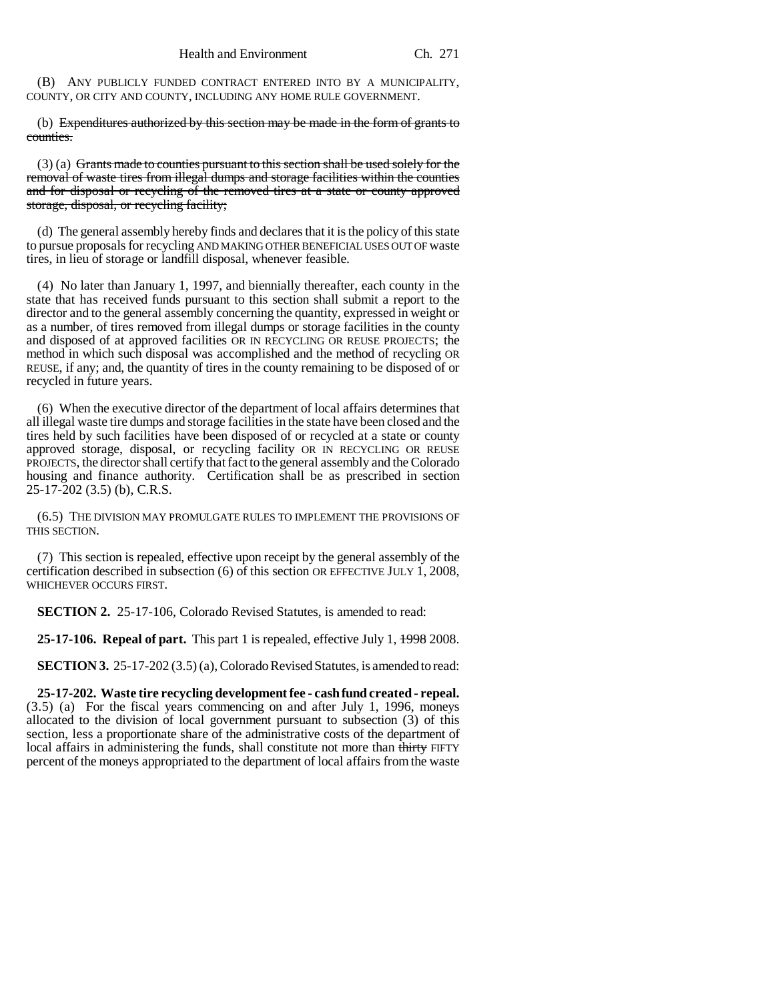(B) ANY PUBLICLY FUNDED CONTRACT ENTERED INTO BY A MUNICIPALITY, COUNTY, OR CITY AND COUNTY, INCLUDING ANY HOME RULE GOVERNMENT.

(b) Expenditures authorized by this section may be made in the form of grants to counties.

 $(3)$  (a) Grants made to counties pursuant to this section shall be used solely for the removal of waste tires from illegal dumps and storage facilities within the counties and for disposal or recycling of the removed tires at a state or county approved storage, disposal, or recycling facility;

(d) The general assembly hereby finds and declares that it is the policy of this state to pursue proposals for recycling AND MAKING OTHER BENEFICIAL USES OUT OF waste tires, in lieu of storage or landfill disposal, whenever feasible.

(4) No later than January 1, 1997, and biennially thereafter, each county in the state that has received funds pursuant to this section shall submit a report to the director and to the general assembly concerning the quantity, expressed in weight or as a number, of tires removed from illegal dumps or storage facilities in the county and disposed of at approved facilities OR IN RECYCLING OR REUSE PROJECTS; the method in which such disposal was accomplished and the method of recycling OR REUSE, if any; and, the quantity of tires in the county remaining to be disposed of or recycled in future years.

(6) When the executive director of the department of local affairs determines that all illegal waste tire dumps and storage facilities in the state have been closed and the tires held by such facilities have been disposed of or recycled at a state or county approved storage, disposal, or recycling facility OR IN RECYCLING OR REUSE PROJECTS, the director shall certify that fact to the general assembly and the Colorado housing and finance authority. Certification shall be as prescribed in section 25-17-202 (3.5) (b), C.R.S.

(6.5) THE DIVISION MAY PROMULGATE RULES TO IMPLEMENT THE PROVISIONS OF THIS SECTION.

(7) This section is repealed, effective upon receipt by the general assembly of the certification described in subsection (6) of this section OR EFFECTIVE JULY 1, 2008, WHICHEVER OCCURS FIRST.

**SECTION 2.** 25-17-106, Colorado Revised Statutes, is amended to read:

**25-17-106. Repeal of part.** This part 1 is repealed, effective July 1, 1998 2008.

**SECTION 3.** 25-17-202 (3.5) (a), Colorado Revised Statutes, is amended to read:

**25-17-202. Waste tire recycling development fee - cash fund created - repeal.** (3.5) (a) For the fiscal years commencing on and after July 1, 1996, moneys allocated to the division of local government pursuant to subsection (3) of this section, less a proportionate share of the administrative costs of the department of local affairs in administering the funds, shall constitute not more than thirty FIFTY percent of the moneys appropriated to the department of local affairs from the waste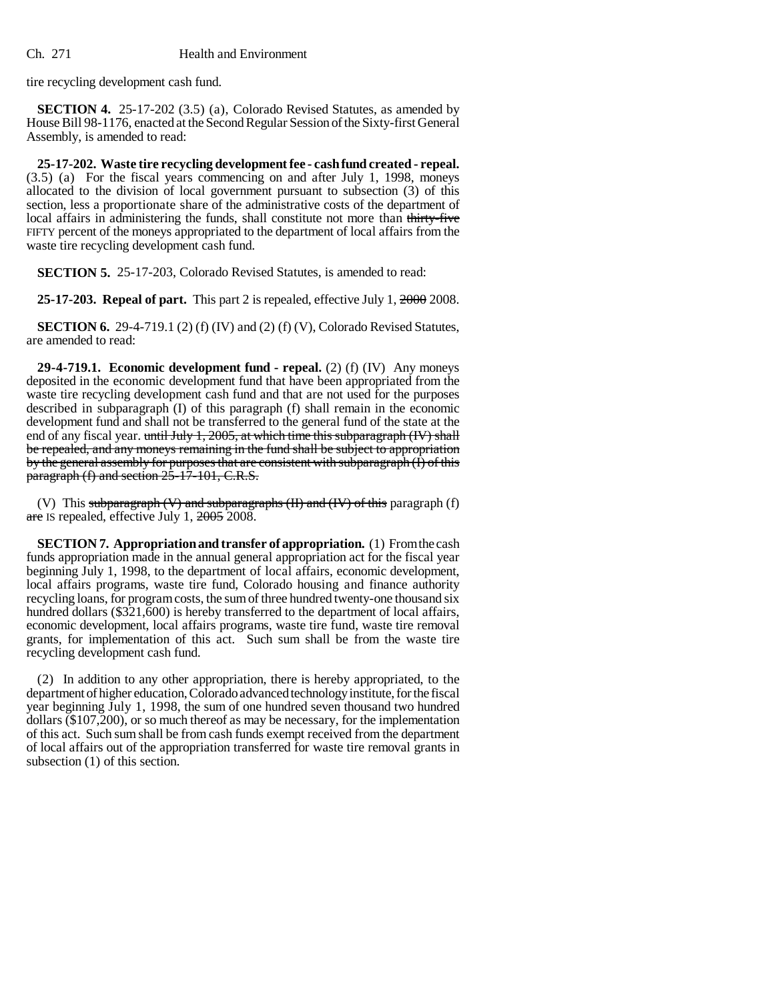tire recycling development cash fund.

**SECTION 4.** 25-17-202 (3.5) (a), Colorado Revised Statutes, as amended by House Bill 98-1176, enacted at the Second Regular Session of the Sixty-first General Assembly, is amended to read:

**25-17-202. Waste tire recycling development fee - cash fund created - repeal.** (3.5) (a) For the fiscal years commencing on and after July 1, 1998, moneys allocated to the division of local government pursuant to subsection (3) of this section, less a proportionate share of the administrative costs of the department of local affairs in administering the funds, shall constitute not more than thirty-five FIFTY percent of the moneys appropriated to the department of local affairs from the waste tire recycling development cash fund.

**SECTION 5.** 25-17-203, Colorado Revised Statutes, is amended to read:

**25-17-203. Repeal of part.** This part 2 is repealed, effective July 1, 2000 2008.

**SECTION 6.** 29-4-719.1 (2) (f) (IV) and (2) (f) (V), Colorado Revised Statutes, are amended to read:

**29-4-719.1. Economic development fund - repeal.** (2) (f) (IV) Any moneys deposited in the economic development fund that have been appropriated from the waste tire recycling development cash fund and that are not used for the purposes described in subparagraph (I) of this paragraph (f) shall remain in the economic development fund and shall not be transferred to the general fund of the state at the end of any fiscal year. until July 1, 2005, at which time this subparagraph (IV) shall be repealed, and any moneys remaining in the fund shall be subject to appropriation by the general assembly for purposes that are consistent with subparagraph (I) of this paragraph (f) and section 25-17-101, C.R.S.

(V) This subparagraph  $(V)$  and subparagraphs  $(H)$  and  $(W)$  of this paragraph  $(f)$ are IS repealed, effective July 1, 2005 2008.

**SECTION 7. Appropriation and transfer of appropriation.** (1) From the cash funds appropriation made in the annual general appropriation act for the fiscal year beginning July 1, 1998, to the department of local affairs, economic development, local affairs programs, waste tire fund, Colorado housing and finance authority recycling loans, for program costs, the sum of three hundred twenty-one thousand six hundred dollars (\$321,600) is hereby transferred to the department of local affairs, economic development, local affairs programs, waste tire fund, waste tire removal grants, for implementation of this act. Such sum shall be from the waste tire recycling development cash fund.

(2) In addition to any other appropriation, there is hereby appropriated, to the department of higher education, Colorado advanced technology institute, for the fiscal year beginning July 1, 1998, the sum of one hundred seven thousand two hundred dollars (\$107,200), or so much thereof as may be necessary, for the implementation of this act. Such sum shall be from cash funds exempt received from the department of local affairs out of the appropriation transferred for waste tire removal grants in subsection (1) of this section.